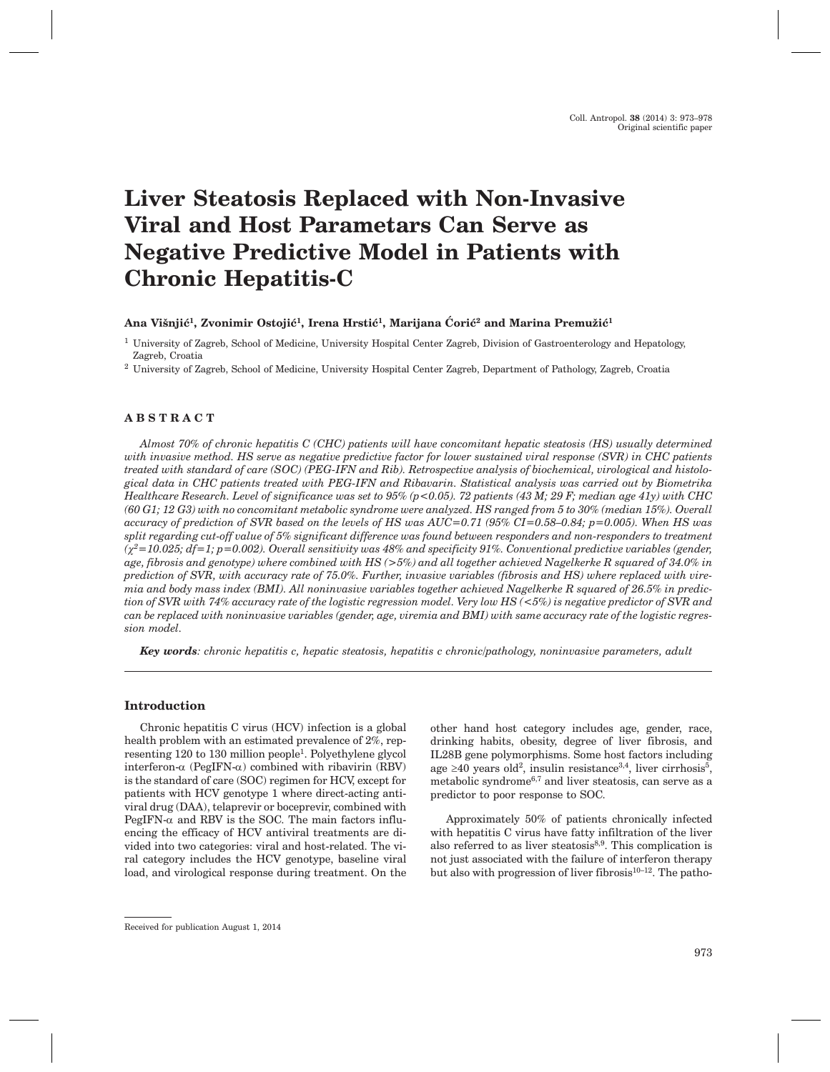# **Liver Steatosis Replaced with Non-Invasive Viral and Host Parametars Can Serve as Negative Predictive Model in Patients with Chronic Hepatitis-C**

## Ana Višnjić<sup>1</sup>, Zvonimir Ostojić<sup>1</sup>, Irena Hrstić<sup>1</sup>, Marijana Ćorić<sup>2</sup> and Marina Premužić<sup>1</sup>

<sup>1</sup> University of Zagreb, School of Medicine, University Hospital Center Zagreb, Division of Gastroenterology and Hepatology, Zagreb, Croatia

<sup>2</sup> University of Zagreb, School of Medicine, University Hospital Center Zagreb, Department of Pathology, Zagreb, Croatia

# **ABSTRACT**

*Almost 70% of chronic hepatitis C (CHC) patients will have concomitant hepatic steatosis (HS) usually determined with invasive method. HS serve as negative predictive factor for lower sustained viral response (SVR) in CHC patients treated with standard of care (SOC) (PEG-IFN and Rib). Retrospective analysis of biochemical, virological and histological data in CHC patients treated with PEG-IFN and Ribavarin. Statistical analysis was carried out by Biometrika Healthcare Research. Level of significance was set to 95% (p<0.05). 72 patients (43 M; 29 F; median age 41y) with CHC (60 G1; 12 G3) with no concomitant metabolic syndrome were analyzed. HS ranged from 5 to 30% (median 15%). Overall accuracy of prediction of SVR based on the levels of HS was AUC=0.71 (95% CI=0.58–0.84; p=0.005). When HS was split regarding cut-off value of 5% significant difference was found between responders and non-responders to treatment (c2=10.025; df=1; p=0.002). Overall sensitivity was 48% and specificity 91%. Conventional predictive variables (gender, age, fibrosis and genotype) where combined with HS (>5%) and all together achieved Nagelkerke R squared of 34.0% in prediction of SVR, with accuracy rate of 75.0%. Further, invasive variables (fibrosis and HS) where replaced with viremia and body mass index (BMI). All noninvasive variables together achieved Nagelkerke R squared of 26.5% in prediction of SVR with 74% accuracy rate of the logistic regression model. Very low HS (<5%) is negative predictor of SVR and can be replaced with noninvasive variables (gender, age, viremia and BMI) with same accuracy rate of the logistic regression model.*

*Key words: chronic hepatitis c, hepatic steatosis, hepatitis c chronic/pathology, noninvasive parameters, adult*

## **Introduction**

Chronic hepatitis C virus (HCV) infection is a global health problem with an estimated prevalence of 2%, representing 120 to 130 million people1. Polyethylene glycol interferon- $\alpha$  (PegIFN- $\alpha$ ) combined with ribavirin (RBV) is the standard of care (SOC) regimen for HCV, except for patients with HCV genotype 1 where direct-acting antiviral drug (DAA), telaprevir or boceprevir, combined with PegIFN- $\alpha$  and RBV is the SOC. The main factors influencing the efficacy of HCV antiviral treatments are divided into two categories: viral and host-related. The viral category includes the HCV genotype, baseline viral load, and virological response during treatment. On the other hand host category includes age, gender, race, drinking habits, obesity, degree of liver fibrosis, and IL28B gene polymorphisms. Some host factors including age  $\geq 40$  years old<sup>2</sup>, insulin resistance<sup>3,4</sup>, liver cirrhosis<sup>5</sup>, metabolic syndrome6,7 and liver steatosis, can serve as a predictor to poor response to SOC.

Approximately 50% of patients chronically infected with hepatitis C virus have fatty infiltration of the liver also referred to as liver steatosis $8,9$ . This complication is not just associated with the failure of interferon therapy but also with progression of liver fibrosis $10^{-12}$ . The patho-

Received for publication August 1, 2014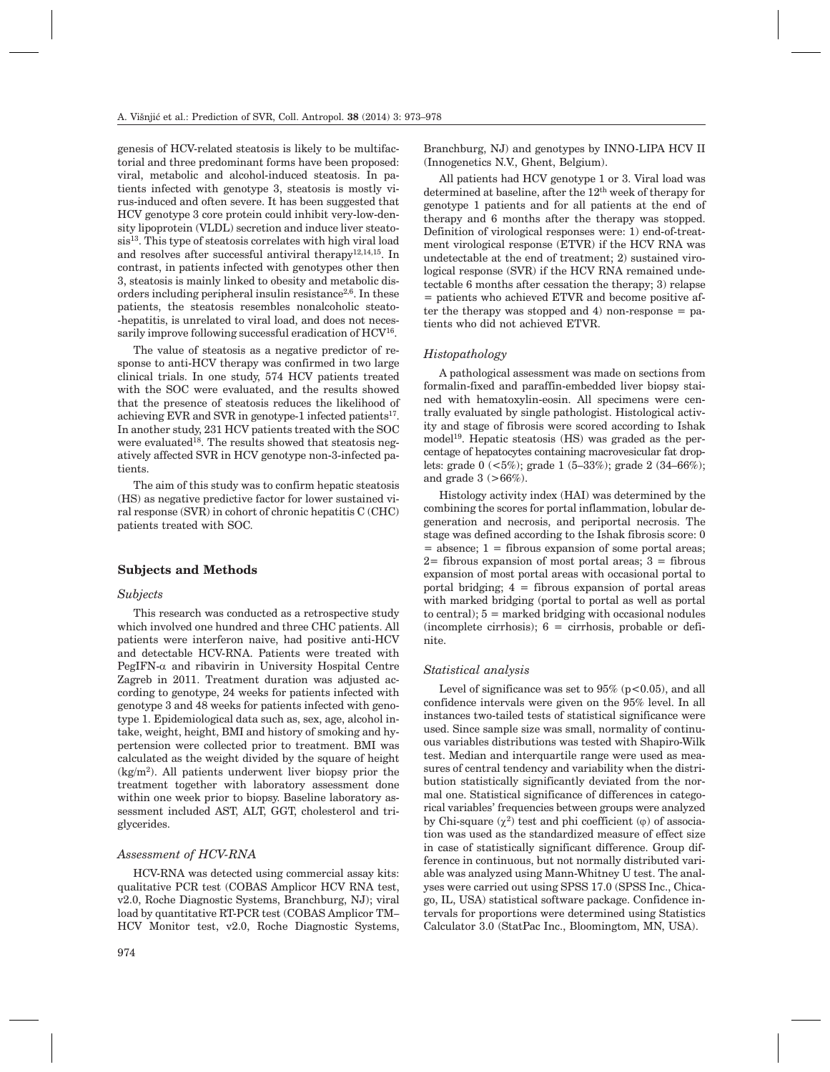genesis of HCV-related steatosis is likely to be multifactorial and three predominant forms have been proposed: viral, metabolic and alcohol-induced steatosis. In patients infected with genotype 3, steatosis is mostly virus-induced and often severe. It has been suggested that HCV genotype 3 core protein could inhibit very-low-density lipoprotein (VLDL) secretion and induce liver steato $sis<sup>13</sup>$ . This type of steatosis correlates with high viral load and resolves after successful antiviral therapy<sup>12,14,15</sup>. In contrast, in patients infected with genotypes other then 3, steatosis is mainly linked to obesity and metabolic disorders including peripheral insulin resistance<sup>2,6</sup>. In these patients, the steatosis resembles nonalcoholic steato- -hepatitis, is unrelated to viral load, and does not necessarily improve following successful eradication of HCV<sup>16</sup>.

The value of steatosis as a negative predictor of response to anti-HCV therapy was confirmed in two large clinical trials. In one study, 574 HCV patients treated with the SOC were evaluated, and the results showed that the presence of steatosis reduces the likelihood of achieving EVR and SVR in genotype-1 infected patients<sup>17</sup>. In another study, 231 HCV patients treated with the SOC were evaluated<sup>18</sup>. The results showed that steatosis negatively affected SVR in HCV genotype non-3-infected patients.

The aim of this study was to confirm hepatic steatosis (HS) as negative predictive factor for lower sustained viral response (SVR) in cohort of chronic hepatitis C (CHC) patients treated with SOC.

#### **Subjects and Methods**

## *Subjects*

This research was conducted as a retrospective study which involved one hundred and three CHC patients. All patients were interferon naive, had positive anti-HCV and detectable HCV-RNA. Patients were treated with PegIFN- $\alpha$  and ribavirin in University Hospital Centre Zagreb in 2011. Treatment duration was adjusted according to genotype, 24 weeks for patients infected with genotype 3 and 48 weeks for patients infected with genotype 1. Epidemiological data such as, sex, age, alcohol intake, weight, height, BMI and history of smoking and hypertension were collected prior to treatment. BMI was calculated as the weight divided by the square of height  $(kg/m<sup>2</sup>)$ . All patients underwent liver biopsy prior the treatment together with laboratory assessment done within one week prior to biopsy. Baseline laboratory assessment included AST, ALT, GGT, cholesterol and triglycerides.

#### *Assessment of HCV-RNA*

HCV-RNA was detected using commercial assay kits: qualitative PCR test (COBAS Amplicor HCV RNA test, v2.0, Roche Diagnostic Systems, Branchburg, NJ); viral load by quantitative RT-PCR test (COBAS Amplicor TM– HCV Monitor test, v2.0, Roche Diagnostic Systems, Branchburg, NJ) and genotypes by INNO-LIPA HCV II (Innogenetics N.V., Ghent, Belgium).

All patients had HCV genotype 1 or 3. Viral load was determined at baseline, after the  $12<sup>th</sup>$  week of therapy for genotype 1 patients and for all patients at the end of therapy and 6 months after the therapy was stopped. Definition of virological responses were: 1) end-of-treatment virological response (ETVR) if the HCV RNA was undetectable at the end of treatment; 2) sustained virological response (SVR) if the HCV RNA remained undetectable 6 months after cessation the therapy; 3) relapse = patients who achieved ETVR and become positive after the therapy was stopped and  $4$ ) non-response = patients who did not achieved ETVR.

#### *Histopathology*

A pathological assessment was made on sections from formalin-fixed and paraffin-embedded liver biopsy stained with hematoxylin-eosin. All specimens were centrally evaluated by single pathologist. Histological activity and stage of fibrosis were scored according to Ishak model<sup>19</sup>. Hepatic steatosis  $(HS)$  was graded as the percentage of hepatocytes containing macrovesicular fat droplets: grade 0 (<5%); grade 1 (5–33%); grade 2 (34–66%); and grade  $3$  ( $>66\%$ ).

Histology activity index (HAI) was determined by the combining the scores for portal inflammation, lobular degeneration and necrosis, and periportal necrosis. The stage was defined according to the Ishak fibrosis score: 0  $=$  absence; 1 = fibrous expansion of some portal areas;  $2=$  fibrous expansion of most portal areas;  $3=$  fibrous expansion of most portal areas with occasional portal to portal bridging;  $4 =$  fibrous expansion of portal areas with marked bridging (portal to portal as well as portal to central);  $5 =$  marked bridging with occasional nodules (incomplete cirrhosis);  $6 =$  cirrhosis, probable or definite.

#### *Statistical analysis*

Level of significance was set to  $95\%$  (p<0.05), and all confidence intervals were given on the 95% level. In all instances two-tailed tests of statistical significance were used. Since sample size was small, normality of continuous variables distributions was tested with Shapiro-Wilk test. Median and interquartile range were used as measures of central tendency and variability when the distribution statistically significantly deviated from the normal one. Statistical significance of differences in categorical variables' frequencies between groups were analyzed by Chi-square  $(\chi^2)$  test and phi coefficient  $(\varphi)$  of association was used as the standardized measure of effect size in case of statistically significant difference. Group difference in continuous, but not normally distributed variable was analyzed using Mann-Whitney U test. The analyses were carried out using SPSS 17.0 (SPSS Inc., Chicago, IL, USA) statistical software package. Confidence intervals for proportions were determined using Statistics Calculator 3.0 (StatPac Inc., Bloomingtom, MN, USA).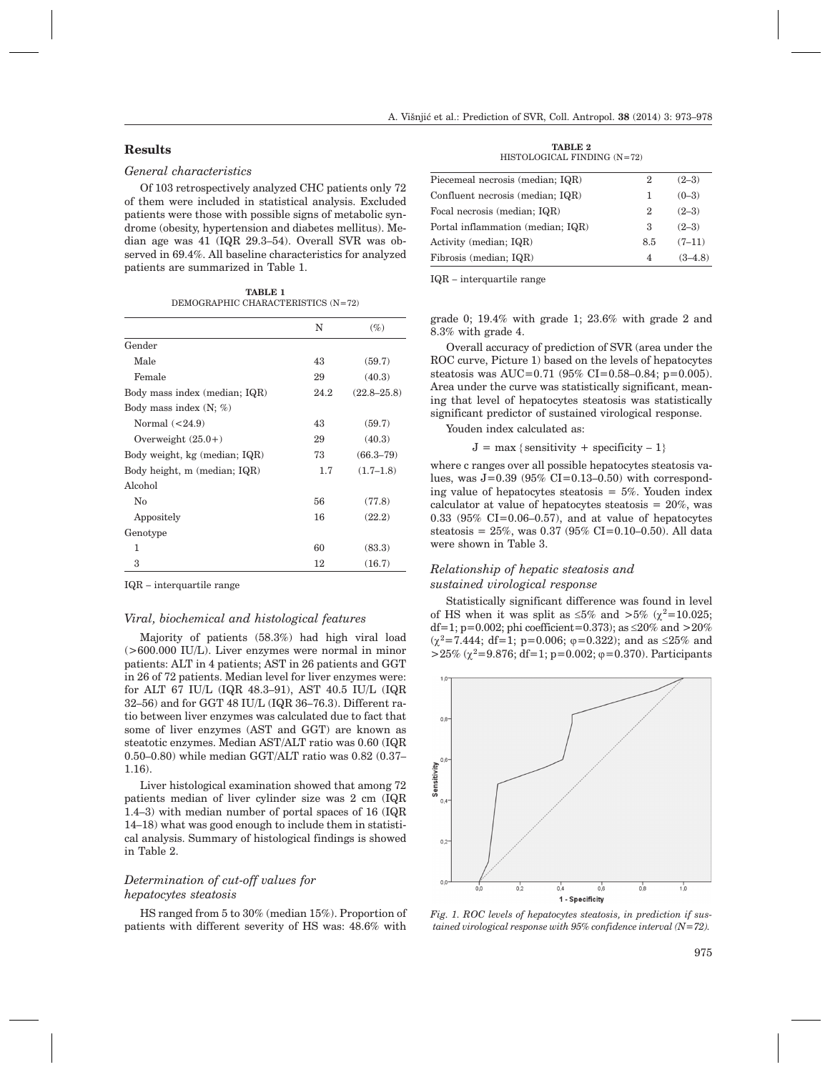## **Results**

## *General characteristics*

Of 103 retrospectively analyzed CHC patients only 72 of them were included in statistical analysis. Excluded patients were those with possible signs of metabolic syndrome (obesity, hypertension and diabetes mellitus). Median age was 41 (IQR 29.3–54). Overall SVR was observed in 69.4%. All baseline characteristics for analyzed patients are summarized in Table 1.

**TABLE 1** DEMOGRAPHIC CHARACTERISTICS (N=72)

|                               | N    | $(\%)$          |
|-------------------------------|------|-----------------|
| Gender                        |      |                 |
| Male                          | 43   | (59.7)          |
| Female                        | 29   | (40.3)          |
| Body mass index (median; IQR) | 24.2 | $(22.8 - 25.8)$ |
| Body mass index $(N; \%)$     |      |                 |
| Normal $(<24.9)$              | 43   | (59.7)          |
| Overweight $(25.0+)$          | 29   | (40.3)          |
| Body weight, kg (median; IQR) | 73   | $(66.3 - 79)$   |
| Body height, m (median; IQR)  | 1.7  | $(1.7-1.8)$     |
| Alcohol                       |      |                 |
| No                            | 56   | (77.8)          |
| Appositely                    | 16   | (22.2)          |
| Genotype                      |      |                 |
| 1                             | 60   | (83.3)          |
| 3                             | 12   | (16.7)          |

IQR – interquartile range

#### *Viral, biochemical and histological features*

Majority of patients (58.3%) had high viral load (>600.000 IU/L). Liver enzymes were normal in minor patients: ALT in 4 patients; AST in 26 patients and GGT in 26 of 72 patients. Median level for liver enzymes were: for ALT 67 IU/L (IQR 48.3–91), AST 40.5 IU/L (IQR 32–56) and for GGT 48 IU/L (IQR 36–76.3). Different ratio between liver enzymes was calculated due to fact that some of liver enzymes (AST and GGT) are known as steatotic enzymes. Median AST/ALT ratio was 0.60 (IQR 0.50–0.80) while median GGT/ALT ratio was 0.82 (0.37– 1.16).

Liver histological examination showed that among 72 patients median of liver cylinder size was 2 cm (IQR 1.4–3) with median number of portal spaces of 16 (IQR 14–18) what was good enough to include them in statistical analysis. Summary of histological findings is showed in Table 2.

# *Determination of cut-off values for hepatocytes steatosis*

HS ranged from 5 to 30% (median 15%). Proportion of patients with different severity of HS was: 48.6% with

**TABLE 2** HISTOLOGICAL FINDING (N=72)

| Piecemeal necrosis (median; IQR)  | 2   | $(2-3)$   |
|-----------------------------------|-----|-----------|
| Confluent necrosis (median; IQR)  | 1   | $(0-3)$   |
| Focal necrosis (median; IQR)      | 2   | $(2-3)$   |
| Portal inflammation (median; IQR) | 3   | $(2-3)$   |
| Activity (median; IQR)            | 8.5 | $(7-11)$  |
| Fibrosis (median; IQR)            | 4   | $(3-4.8)$ |
|                                   |     |           |

IQR – interquartile range

grade 0; 19.4% with grade 1; 23.6% with grade 2 and 8.3% with grade 4.

Overall accuracy of prediction of SVR (area under the ROC curve, Picture 1) based on the levels of hepatocytes steatosis was AUC=0.71 (95% CI=0.58–0.84; p=0.005). Area under the curve was statistically significant, meaning that level of hepatocytes steatosis was statistically significant predictor of sustained virological response.

Youden index calculated as:

 $J = \max \{$  sensitivity + specificity – 1}

where c ranges over all possible hepatocytes steatosis values, was  $J=0.39$  (95% CI=0.13–0.50) with corresponding value of hepatocytes steatosis  $= 5\%$ . Youden index calculator at value of hepatocytes steatosis  $= 20\%$ , was  $0.33$  (95% CI=0.06-0.57), and at value of hepatocytes steatosis =  $25\%$ , was 0.37 (95% CI=0.10-0.50). All data were shown in Table 3.

## *Relationship of hepatic steatosis and sustained virological response*

Statistically significant difference was found in level of HS when it was split as  $\leq 5\%$  and  $>5\%$  ( $\chi^2=10.025$ ; df=1; p=0.002; phi coefficient=0.373); as  $\leq$ 20% and >20%  $(\chi^2=7.444; df=1; p=0.006; \varphi=0.322)$ ; and as  $\leq 25\%$  and  $>25\%$  ( $\chi^2$ =9.876; df=1; p=0.002;  $\varphi$ =0.370). Participants



*Fig. 1. ROC levels of hepatocytes steatosis, in prediction if sustained virological response with 95% confidence interval (N=72).*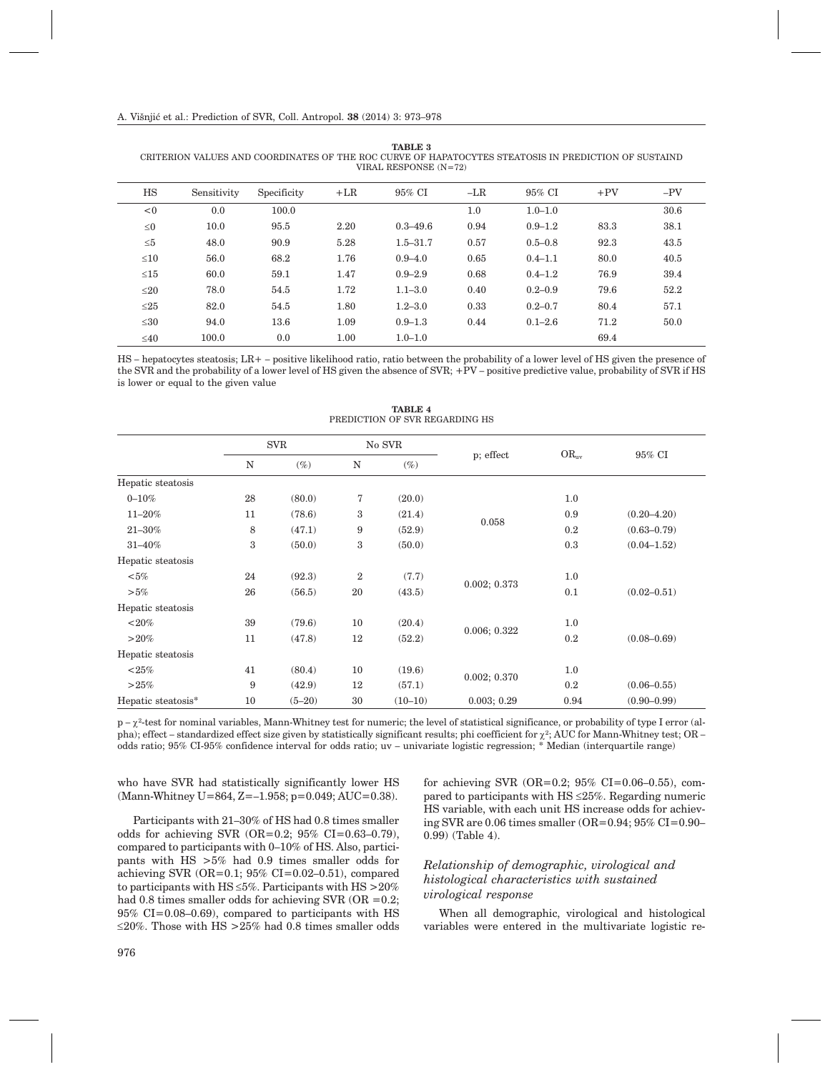| VIRAL RESPONSE $(N=72)$ |             |             |       |              |       |             |       |       |
|-------------------------|-------------|-------------|-------|--------------|-------|-------------|-------|-------|
| HS                      | Sensitivity | Specificity | $+LR$ | 95% CI       | $-LR$ | 95% CI      | $+PV$ | $-PV$ |
| < 0                     | 0.0         | 100.0       |       |              | 1.0   | $1.0 - 1.0$ |       | 30.6  |
| $\leq 0$                | 10.0        | 95.5        | 2.20  | $0.3 - 49.6$ | 0.94  | $0.9 - 1.2$ | 83.3  | 38.1  |
| $\leq 5$                | 48.0        | 90.9        | 5.28  | $1.5 - 31.7$ | 0.57  | $0.5 - 0.8$ | 92.3  | 43.5  |
| $\leq 10$               | 56.0        | 68.2        | 1.76  | $0.9 - 4.0$  | 0.65  | $0.4 - 1.1$ | 80.0  | 40.5  |
| $\leq 15$               | 60.0        | 59.1        | 1.47  | $0.9 - 2.9$  | 0.68  | $0.4 - 1.2$ | 76.9  | 39.4  |
| $\leq$ 20               | 78.0        | 54.5        | 1.72  | $1.1 - 3.0$  | 0.40  | $0.2 - 0.9$ | 79.6  | 52.2  |
| $\leq$ 25               | 82.0        | 54.5        | 1.80  | $1.2 - 3.0$  | 0.33  | $0.2 - 0.7$ | 80.4  | 57.1  |
| $\leq 30$               | 94.0        | 13.6        | 1.09  | $0.9 - 1.3$  | 0.44  | $0.1 - 2.6$ | 71.2  | 50.0  |
| $\leq 40$               | 100.0       | 0.0         | 1.00  | $1.0 - 1.0$  |       |             | 69.4  |       |

**TABLE 3** CRITERION VALUES AND COORDINATES OF THE ROC CURVE OF HAPATOCYTES STEATOSIS IN PREDICTION OF SUSTAIND

HS – hepatocytes steatosis; LR+ – positive likelihood ratio, ratio between the probability of a lower level of HS given the presence of the SVR and the probability of a lower level of HS given the absence of SVR; +PV – positive predictive value, probability of SVR if HS is lower or equal to the given value

|                    | <b>SVR</b> |          | No SVR           |           |              |           |                 |
|--------------------|------------|----------|------------------|-----------|--------------|-----------|-----------------|
|                    | N          | $(\%)$   | N                | $(\%)$    | p; effect    | $OR_{uv}$ | 95% CI          |
| Hepatic steatosis  |            |          |                  |           |              |           |                 |
| $0 - 10%$          | 28         | (80.0)   | 7                | (20.0)    |              | 1.0       |                 |
| $11 - 20\%$        | 11         | (78.6)   | 3                | (21.4)    |              | 0.9       | $(0.20 - 4.20)$ |
| $21 - 30\%$        | 8          | (47.1)   | 9                | (52.9)    | 0.058        | 0.2       | $(0.63 - 0.79)$ |
| $31 - 40\%$        | 3          | (50.0)   | 3                | (50.0)    |              | 0.3       | $(0.04 - 1.52)$ |
| Hepatic steatosis  |            |          |                  |           |              |           |                 |
| $<\!\!5\%$         | 24         | (92.3)   | $\boldsymbol{2}$ | (7.7)     |              | 1.0       |                 |
| $>5\%$             | 26         | (56.5)   | 20               | (43.5)    | 0.002; 0.373 | 0.1       | $(0.02 - 0.51)$ |
| Hepatic steatosis  |            |          |                  |           |              |           |                 |
| ${<}20\%$          | 39         | (79.6)   | 10               | (20.4)    |              | 1.0       |                 |
| $>20\%$            | 11         | (47.8)   | 12               | (52.2)    | 0.006; 0.322 | 0.2       | $(0.08 - 0.69)$ |
| Hepatic steatosis  |            |          |                  |           |              |           |                 |
| ${<}25\%$          | 41         | (80.4)   | 10               | (19.6)    |              | 1.0       |                 |
| >25%               | 9          | (42.9)   | 12               | (57.1)    | 0.002; 0.370 | 0.2       | $(0.06 - 0.55)$ |
| Hepatic steatosis* | 10         | $(5-20)$ | 30               | $(10-10)$ | 0.003; 0.29  | 0.94      | $(0.90 - 0.99)$ |

**TABLE 4** PREDICTION OF SVR REGARDING HS

 $p - \chi^2$ -test for nominal variables, Mann-Whitney test for numeric; the level of statistical significance, or probability of type I error (alpha); effect – standardized effect size given by statistically significant results; phi coefficient for  $\chi^2$ ; AUC for Mann-Whitney test; OR – odds ratio; 95% CI-95% confidence interval for odds ratio; uv – univariate logistic regression; \* Median (interquartile range)

who have SVR had statistically significantly lower HS (Mann-Whitney U=864, Z=–1.958; p=0.049; AUC=0.38).

Participants with 21–30% of HS had 0.8 times smaller odds for achieving SVR (OR=0.2; 95% CI=0.63–0.79), compared to participants with 0–10% of HS. Also, participants with HS >5% had 0.9 times smaller odds for achieving SVR (OR=0.1; 95% CI=0.02–0.51), compared to participants with HS  $\leq$  5%. Participants with HS  $>$  20% had 0.8 times smaller odds for achieving SVR (OR  $=0.2$ ; 95% CI=0.08–0.69), compared to participants with HS  $\leq$ 20%. Those with HS >25% had 0.8 times smaller odds for achieving SVR  $(OR=0.2; 95\% \text{ CI}=0.06-0.55)$ , compared to participants with  $\text{HS} \leq 25\%$ . Regarding numeric HS variable, with each unit HS increase odds for achieving SVR are 0.06 times smaller (OR=0.94;  $95\%$  CI=0.90– 0.99) (Table 4).

# *Relationship of demographic, virological and histological characteristics with sustained virological response*

When all demographic, virological and histological variables were entered in the multivariate logistic re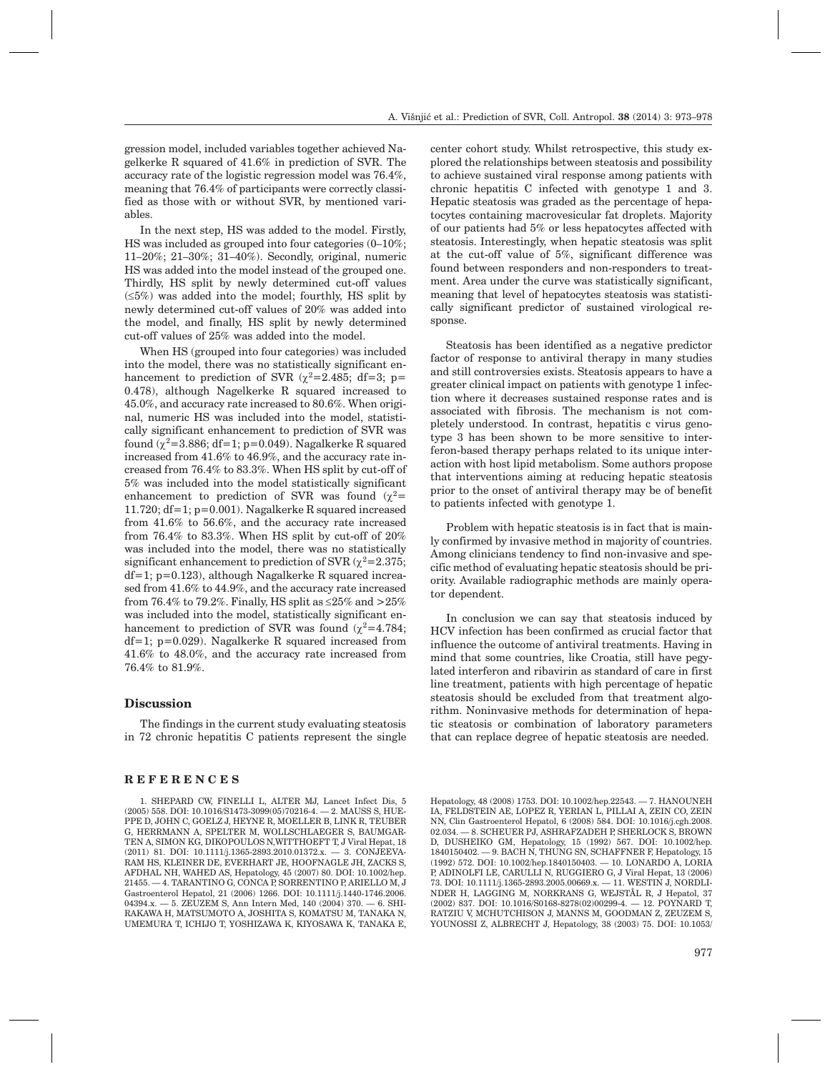gression model, included variables together achieved Nagelkerke R squared of 41.6% in prediction of SVR. The accuracy rate of the logistic regression model was 76.4%, meaning that 76.4% of participants were correctly classified as those with or without SVR, by mentioned variables.

In the next step, HS was added to the model. Firstly, HS was included as grouped into four categories (0–10%; 11–20%; 21–30%; 31–40%). Secondly, original, numeric HS was added into the model instead of the grouped one. Thirdly, HS split by newly determined cut-off values  $(\leq 5\%)$  was added into the model; fourthly, HS split by newly determined cut-off values of 20% was added into the model, and finally, HS split by newly determined cut-off values of 25% was added into the model.

When HS (grouped into four categories) was included into the model, there was no statistically significant enhancement to prediction of SVR  $(\chi^2=2.485; df=3; p=$ 0.478), although Nagelkerke R squared increased to 45.0%, and accuracy rate increased to 80.6%. When original, numeric HS was included into the model, statistically significant enhancement to prediction of SVR was found  $(\chi^2=3.886; df=1; p=0.049)$ . Nagalkerke R squared increased from 41.6% to 46.9%, and the accuracy rate increased from 76.4% to 83.3%. When HS split by cut-off of 5% was included into the model statistically significant enhancement to prediction of SVR was found  $(\chi^2=$ 11.720; df=1; p=0.001). Nagalkerke R squared increased from 41.6% to 56.6%, and the accuracy rate increased from 76.4% to 83.3%. When HS split by cut-off of 20% was included into the model, there was no statistically significant enhancement to prediction of SVR  $(\gamma^2=2.375;$ df=1; p=0.123), although Nagalkerke R squared increased from 41.6% to 44.9%, and the accuracy rate increased from 76.4% to 79.2%. Finally, HS split as  $\leq$  25% and  $>$  25% was included into the model, statistically significant enhancement to prediction of SVR was found  $(\chi^2=4.784)$ ; df=1; p=0.029). Nagalkerke R squared increased from 41.6% to 48.0%, and the accuracy rate increased from 76.4% to 81.9%.

## **Discussion**

The findings in the current study evaluating steatosis in 72 chronic hepatitis C patients represent the single

## **REFERENCES**

center cohort study. Whilst retrospective, this study explored the relationships between steatosis and possibility to achieve sustained viral response among patients with chronic hepatitis C infected with genotype 1 and 3. Hepatic steatosis was graded as the percentage of hepatocytes containing macrovesicular fat droplets. Majority of our patients had 5% or less hepatocytes affected with steatosis. Interestingly, when hepatic steatosis was split at the cut-off value of 5%, significant difference was found between responders and non-responders to treatment. Area under the curve was statistically significant, meaning that level of hepatocytes steatosis was statistically significant predictor of sustained virological response.

Steatosis has been identified as a negative predictor factor of response to antiviral therapy in many studies and still controversies exists. Steatosis appears to have a greater clinical impact on patients with genotype 1 infection where it decreases sustained response rates and is associated with fibrosis. The mechanism is not completely understood. In contrast, hepatitis c virus genotype 3 has been shown to be more sensitive to interferon-based therapy perhaps related to its unique interaction with host lipid metabolism. Some authors propose that interventions aiming at reducing hepatic steatosis prior to the onset of antiviral therapy may be of benefit to patients infected with genotype 1.

Problem with hepatic steatosis is in fact that is mainly confirmed by invasive method in majority of countries. Among clinicians tendency to find non-invasive and specific method of evaluating hepatic steatosis should be priority. Available radiographic methods are mainly operator dependent.

In conclusion we can say that steatosis induced by HCV infection has been confirmed as crucial factor that influence the outcome of antiviral treatments. Having in mind that some countries, like Croatia, still have pegylated interferon and ribavirin as standard of care in first line treatment, patients with high percentage of hepatic steatosis should be excluded from that treatment algorithm. Noninvasive methods for determination of hepatic steatosis or combination of laboratory parameters that can replace degree of hepatic steatosis are needed.

<sup>1.</sup> SHEPARD CW, FINELLI L, ALTER MJ, Lancet Infect Dis, 5 (2005) 558. DOI: 10.1016/S1473-3099(05)70216-4. — 2. MAUSS S, HUE-PPE D, JOHN C, GOELZ J, HEYNE R, MOELLER B, LINK R, TEUBER G, HERRMANN A, SPELTER M, WOLLSCHLAEGER S, BAUMGAR-TEN A, SIMON KG, DIKOPOULOS N,WITTHOEFT T, J Viral Hepat, 18 (2011) 81. DOI: 10.1111/j.1365-2893.2010.01372.x. — 3. CONJEEVA-RAM HS, KLEINER DE, EVERHART JE, HOOFNAGLE JH, ZACKS S, AFDHAL NH, WAHED AS, Hepatology, 45 (2007) 80. DOI: 10.1002/hep. 21455. — 4. TARANTINO G, CONCA P, SORRENTINO P, ARIELLO M, J Gastroenterol Hepatol, 21 (2006) 1266. DOI: 10.1111/j.1440-1746.2006. 04394.x. — 5. ZEUZEM S, Ann Intern Med, 140 (2004) 370. — 6. SHI-RAKAWA H, MATSUMOTO A, JOSHITA S, KOMATSU M, TANAKA N, UMEMURA T, ICHIJO T, YOSHIZAWA K, KIYOSAWA K, TANAKA E,

Hepatology, 48 (2008) 1753. DOI: 10.1002/hep.22543. — 7. HANOUNEH IA, FELDSTEIN AE, LOPEZ R, YERIAN L, PILLAI A, ZEIN CO, ZEIN NN, Clin Gastroenterol Hepatol, 6 (2008) 584. DOI: 10.1016/j.cgh.2008. 02.034. — 8. SCHEUER PJ, ASHRAFZADEH P, SHERLOCK S, BROWN D, DUSHEIKO GM, Hepatology, 15 (1992) 567. DOI: 10.1002/hep. 1840150402. — 9. BACH N, THUNG SN, SCHAFFNER F, Hepatology, 15 (1992) 572. DOI: 10.1002/hep.1840150403. — 10. LONARDO A, LORIA P, ADINOLFI LE, CARULLI N, RUGGIERO G, J Viral Hepat, 13 (2006) 73. DOI: 10.1111/j.1365-2893.2005.00669.x. — 11. WESTIN J, NORDLI-NDER H, LAGGING M, NORKRANS G, WEJSTÅL R, J Hepatol, 37 (2002) 837. DOI: 10.1016/S0168-8278(02)00299-4. — 12. POYNARD T, RATZIU V, MCHUTCHISON J, MANNS M, GOODMAN Z, ZEUZEM S, YOUNOSSI Z, ALBRECHT J, Hepatology, 38 (2003) 75. DOI: 10.1053/